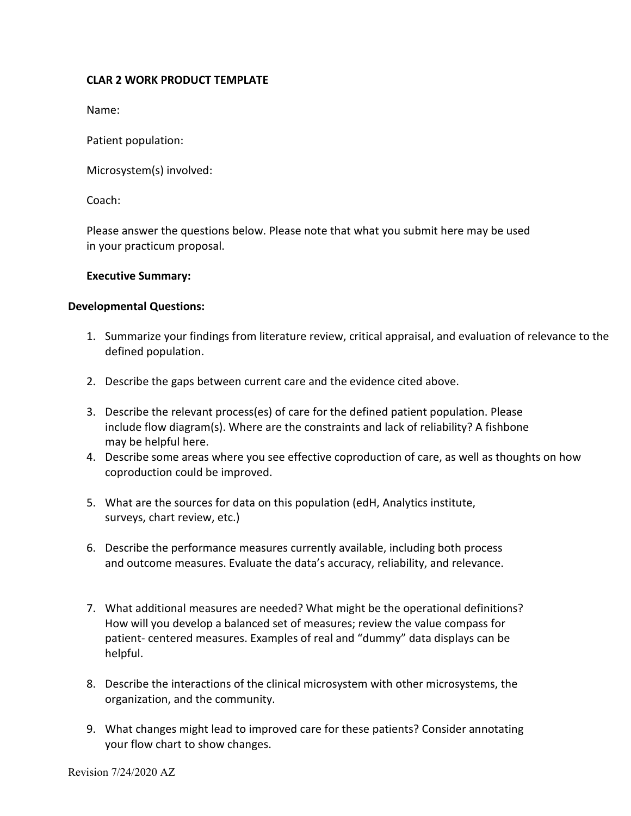## **CLAR 2 WORK PRODUCT TEMPLATE**

Name:

Patient population:

Microsystem(s) involved:

Coach:

Please answer the questions below. Please note that what you submit here may be used in your practicum proposal.

## **Executive Summary:**

## **Developmental Questions:**

- 1. Summarize your findings from literature review, critical appraisal, and evaluation of relevance to the defined population.
- 2. Describe the gaps between current care and the evidence cited above.
- 3. Describe the relevant process(es) of care for the defined patient population. Please include flow diagram(s). Where are the constraints and lack of reliability? A fishbone may be helpful here.
- 4. Describe some areas where you see effective coproduction of care, as well as thoughts on how coproduction could be improved.
- 5. What are the sources for data on this population (edH, Analytics institute, surveys, chart review, etc.)
- 6. Describe the performance measures currently available, including both process and outcome measures. Evaluate the data's accuracy, reliability, and relevance.
- 7. What additional measures are needed? What might be the operational definitions? How will you develop a balanced set of measures; review the value compass for patient- centered measures. Examples of real and "dummy" data displays can be helpful.
- 8. Describe the interactions of the clinical microsystem with other microsystems, the organization, and the community.
- 9. What changes might lead to improved care for these patients? Consider annotating your flow chart to show changes.